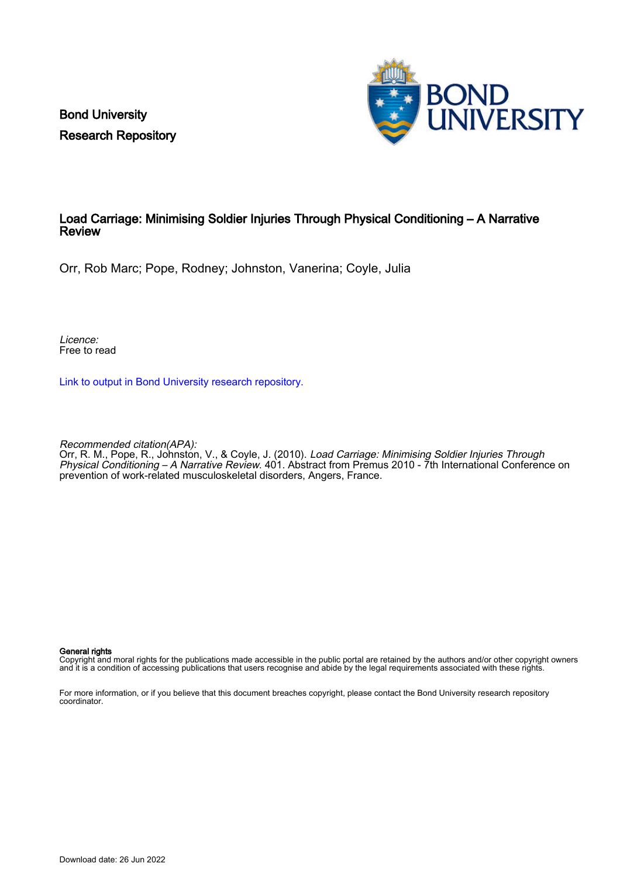Bond University Research Repository



## Load Carriage: Minimising Soldier Injuries Through Physical Conditioning – A Narrative Review

Orr, Rob Marc; Pope, Rodney; Johnston, Vanerina; Coyle, Julia

Licence: Free to read

[Link to output in Bond University research repository.](https://research.bond.edu.au/en/publications/c877adbd-3fcb-4517-9d4c-ce1702869af6)

Recommended citation(APA):

Orr, R. M., Pope, R., Johnston, V., & Coyle, J. (2010). Load Carriage: Minimising Soldier Injuries Through Physical Conditioning – A Narrative Review. 401. Abstract from Premus 2010 - 7th International Conference on prevention of work-related musculoskeletal disorders, Angers, France.

#### General rights

Copyright and moral rights for the publications made accessible in the public portal are retained by the authors and/or other copyright owners and it is a condition of accessing publications that users recognise and abide by the legal requirements associated with these rights.

For more information, or if you believe that this document breaches copyright, please contact the Bond University research repository coordinator.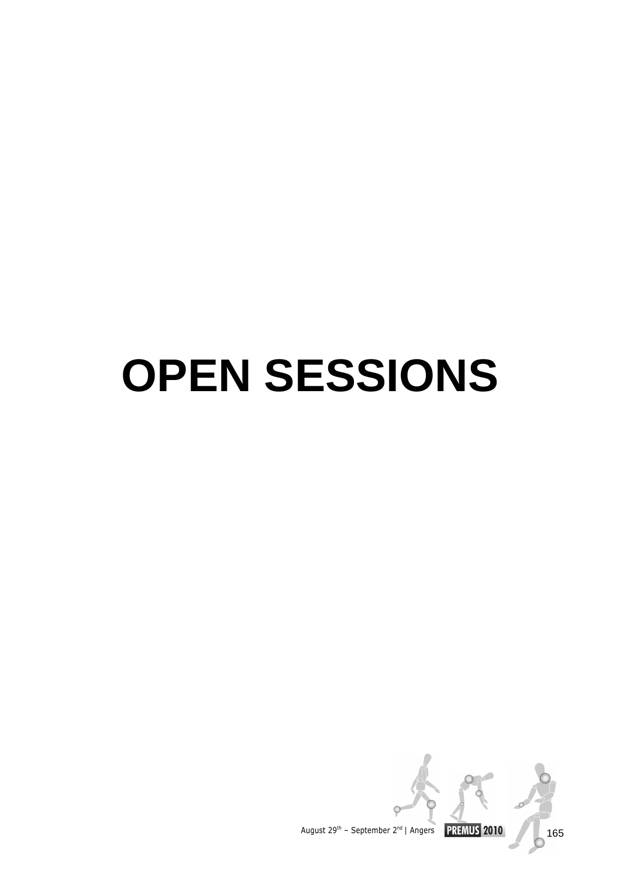# **OPEN SESSIONS**